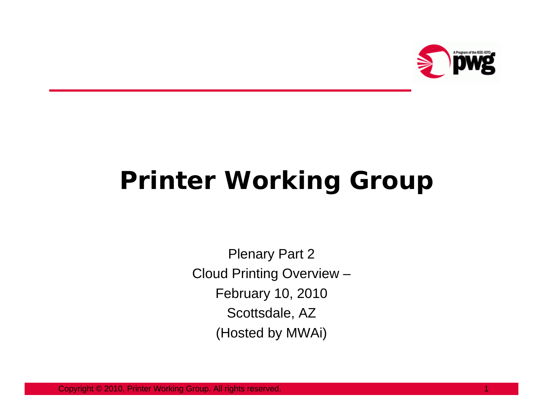

## **Printer Working Group**

Plenary Part 2 Cloud Printing Overview – February 10, 2010 Scottsdale, AZ (Hosted by MWAi)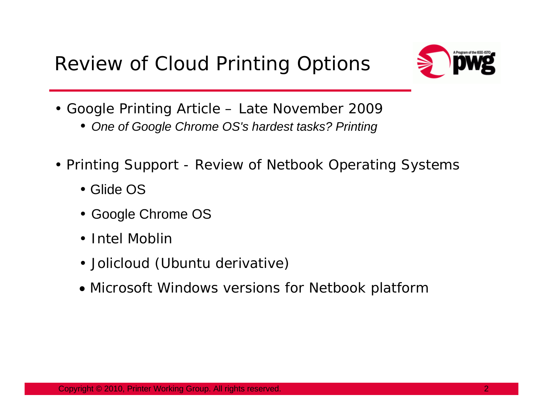

- Google Printing Article Late November 2009
	- *One of Google Chrome OS's hardest tasks? Printing*
- Printing Support Review of Netbook Operating Systems
	- Glide OS
	- Google Chrome OS
	- Intel Moblir
	- Jolicloud (Ubuntu derivative)
	- Microsoft Windows versions for Netbook platform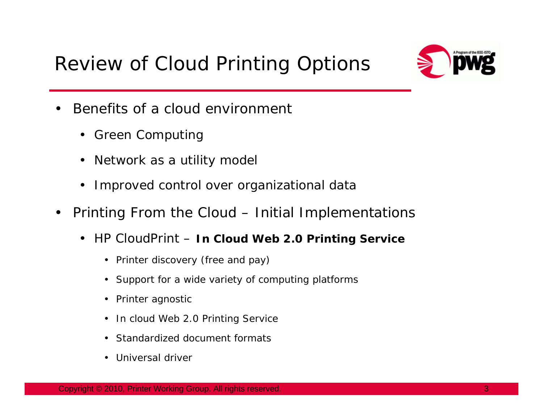## Review of Cloud Printing Options



- • Benefits of a cloud environment
	- Green Computing
	- Network as a utility model
	- Improved control over organizational data
- $\bullet$  Printing From the Cloud – Initial Implementations
	- HP CloudPrint *In Cloud Web 2.0 Printing Service*
		- Printer discovery (free and pay)
		- Support for a wide variety of computing platforms
		- Printer agnostic
		- In cloud Web 2.0 Printing Service
		- Standardized document formats
		- Universal driver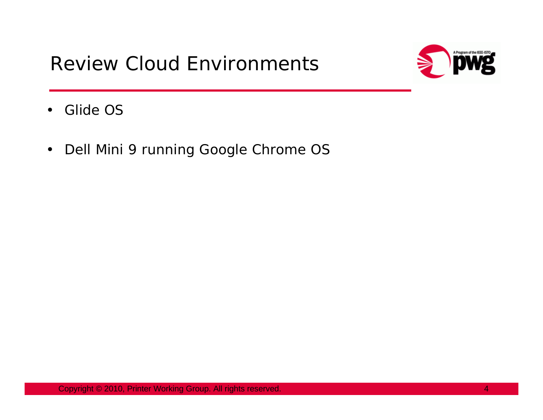

- $\bullet$ Glide OS
- $\bullet$ Dell Mini 9 running Google Chrome OS